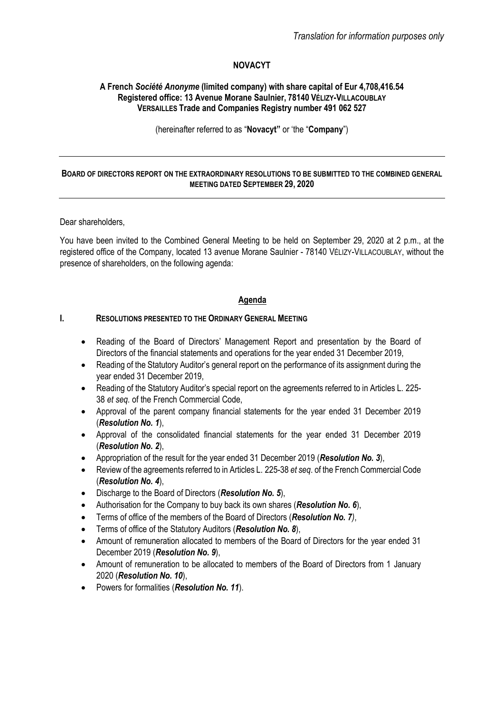## **NOVACYT**

#### **A French** *Société Anonyme* **(limited company) with share capital of Eur 4,708,416.54 Registered office: 13 Avenue Morane Saulnier, 78140 VÉLIZY-VILLACOUBLAY VERSAILLES Trade and Companies Registry number 491 062 527**

(hereinafter referred to as "**Novacyt"** or 'the "**Company**")

## **BOARD OF DIRECTORS REPORT ON THE EXTRAORDINARY RESOLUTIONS TO BE SUBMITTED TO THE COMBINED GENERAL MEETING DATED SEPTEMBER 29, 2020**

#### Dear shareholders,

You have been invited to the Combined General Meeting to be held on September 29, 2020 at 2 p.m., at the registered office of the Company, located 13 avenue Morane Saulnier - 78140 VÉLIZY-VILLACOUBLAY, without the presence of shareholders, on the following agenda:

## **Agenda**

## **I. RESOLUTIONS PRESENTED TO THE ORDINARY GENERAL MEETING**

- Reading of the Board of Directors' Management Report and presentation by the Board of Directors of the financial statements and operations for the year ended 31 December 2019,
- Reading of the Statutory Auditor's general report on the performance of its assignment during the year ended 31 December 2019,
- Reading of the Statutory Auditor's special report on the agreements referred to in Articles L. 225- 38 *et seq.* of the French Commercial Code,
- Approval of the parent company financial statements for the year ended 31 December 2019 (*Resolution No. 1*),
- Approval of the consolidated financial statements for the year ended 31 December 2019 (*Resolution No. 2*),
- Appropriation of the result for the year ended 31 December 2019 (*Resolution No. 3*),
- Review of the agreements referred to in Articles L. 225-38 *et seq*. of the French Commercial Code (*Resolution No. 4*),
- Discharge to the Board of Directors (*Resolution No. 5*),
- Authorisation for the Company to buy back its own shares (*Resolution No. 6*),
- Terms of office of the members of the Board of Directors (*Resolution No. 7)*,
- Terms of office of the Statutory Auditors (*Resolution No. 8*),
- Amount of remuneration allocated to members of the Board of Directors for the year ended 31 December 2019 (*Resolution No. 9*),
- Amount of remuneration to be allocated to members of the Board of Directors from 1 January 2020 (*Resolution No. 10*),
- Powers for formalities (*Resolution No. 11*).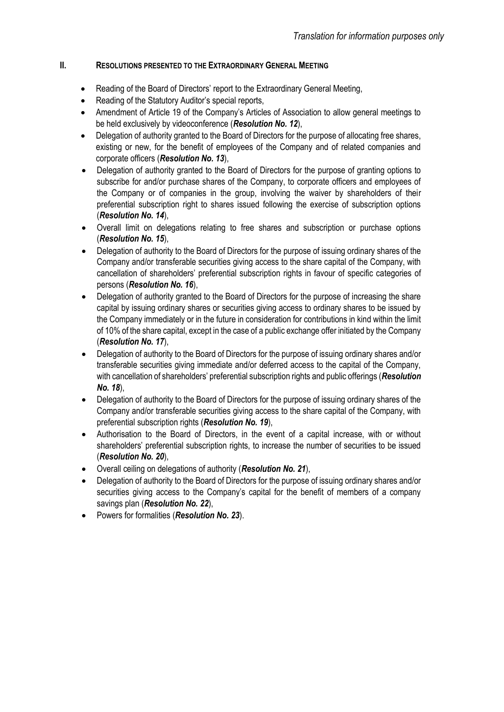## **II. RESOLUTIONS PRESENTED TO THE EXTRAORDINARY GENERAL MEETING**

- Reading of the Board of Directors' report to the Extraordinary General Meeting,
- Reading of the Statutory Auditor's special reports,
- Amendment of Article 19 of the Company's Articles of Association to allow general meetings to be held exclusively by videoconference (*Resolution No. 12*),
- Delegation of authority granted to the Board of Directors for the purpose of allocating free shares, existing or new, for the benefit of employees of the Company and of related companies and corporate officers (*Resolution No. 13*),
- Delegation of authority granted to the Board of Directors for the purpose of granting options to subscribe for and/or purchase shares of the Company, to corporate officers and employees of the Company or of companies in the group, involving the waiver by shareholders of their preferential subscription right to shares issued following the exercise of subscription options (*Resolution No. 14*),
- Overall limit on delegations relating to free shares and subscription or purchase options (*Resolution No. 15*),
- Delegation of authority to the Board of Directors for the purpose of issuing ordinary shares of the Company and/or transferable securities giving access to the share capital of the Company, with cancellation of shareholders' preferential subscription rights in favour of specific categories of persons (*Resolution No. 16*),
- Delegation of authority granted to the Board of Directors for the purpose of increasing the share capital by issuing ordinary shares or securities giving access to ordinary shares to be issued by the Company immediately or in the future in consideration for contributions in kind within the limit of 10% of the share capital, except in the case of a public exchange offer initiated by the Company (*Resolution No. 17*),
- Delegation of authority to the Board of Directors for the purpose of issuing ordinary shares and/or transferable securities giving immediate and/or deferred access to the capital of the Company, with cancellation of shareholders' preferential subscription rights and public offerings (*Resolution No. 18*),
- Delegation of authority to the Board of Directors for the purpose of issuing ordinary shares of the Company and/or transferable securities giving access to the share capital of the Company, with preferential subscription rights (*Resolution No. 19*),
- Authorisation to the Board of Directors, in the event of a capital increase, with or without shareholders' preferential subscription rights, to increase the number of securities to be issued (*Resolution No. 20*),
- Overall ceiling on delegations of authority (*Resolution No. 21*),
- Delegation of authority to the Board of Directors for the purpose of issuing ordinary shares and/or securities giving access to the Company's capital for the benefit of members of a company savings plan (*Resolution No. 22*),
- Powers for formalities (*Resolution No. 23*).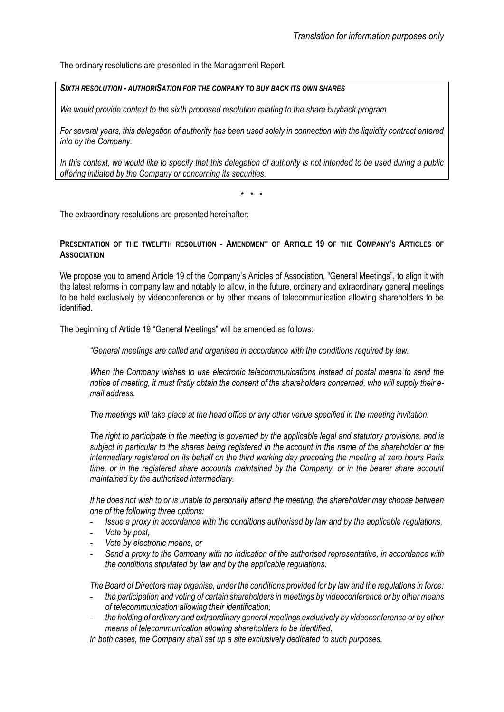The ordinary resolutions are presented in the Management Report.

## *SIXTH RESOLUTION - AUTHORISATION FOR THE COMPANY TO BUY BACK ITS OWN SHARES*

*We would provide context to the sixth proposed resolution relating to the share buyback program.*

*For several years, this delegation of authority has been used solely in connection with the liquidity contract entered into by the Company.*

*In this context, we would like to specify that this delegation of authority is not intended to be used during a public offering initiated by the Company or concerning its securities.*

\* \* \*

The extraordinary resolutions are presented hereinafter:

#### **PRESENTATION OF THE TWELFTH RESOLUTION - AMENDMENT OF ARTICLE 19 OF THE COMPANY'S ARTICLES OF ASSOCIATION**

We propose you to amend Article 19 of the Company's Articles of Association, "General Meetings", to align it with the latest reforms in company law and notably to allow, in the future, ordinary and extraordinary general meetings to be held exclusively by videoconference or by other means of telecommunication allowing shareholders to be identified.

The beginning of Article 19 "General Meetings" will be amended as follows:

*"General meetings are called and organised in accordance with the conditions required by law.*

*When the Company wishes to use electronic telecommunications instead of postal means to send the notice of meeting, it must firstly obtain the consent of the shareholders concerned, who will supply their email address.*

*The meetings will take place at the head office or any other venue specified in the meeting invitation.*

*The right to participate in the meeting is governed by the applicable legal and statutory provisions, and is subject in particular to the shares being registered in the account in the name of the shareholder or the intermediary registered on its behalf on the third working day preceding the meeting at zero hours Paris time, or in the registered share accounts maintained by the Company, or in the bearer share account maintained by the authorised intermediary.*

*If he does not wish to or is unable to personally attend the meeting, the shareholder may choose between one of the following three options:*

- *Issue a proxy in accordance with the conditions authorised by law and by the applicable regulations,*
- *Vote by post,*
- *Vote by electronic means, or*
- *Send a proxy to the Company with no indication of the authorised representative, in accordance with the conditions stipulated by law and by the applicable regulations.*

*The Board of Directors may organise, under the conditions provided for by law and the regulations in force:*

- *the participation and voting of certain shareholders in meetings by videoconference or by other means of telecommunication allowing their identification,*
- *the holding of ordinary and extraordinary general meetings exclusively by videoconference or by other means of telecommunication allowing shareholders to be identified,*

*in both cases, the Company shall set up a site exclusively dedicated to such purposes.*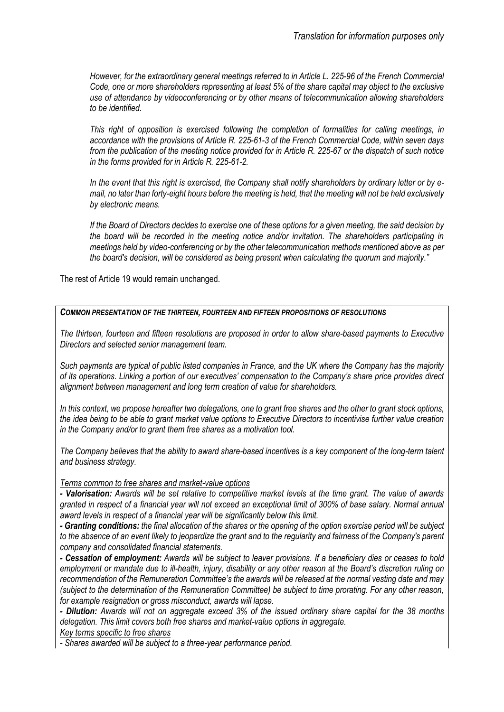*However, for the extraordinary general meetings referred to in Article L. 225-96 of the French Commercial Code, one or more shareholders representing at least 5% of the share capital may object to the exclusive use of attendance by videoconferencing or by other means of telecommunication allowing shareholders to be identified.*

*This right of opposition is exercised following the completion of formalities for calling meetings, in accordance with the provisions of Article R. 225-61-3 of the French Commercial Code, within seven days from the publication of the meeting notice provided for in Article R. 225-67 or the dispatch of such notice in the forms provided for in Article R. 225-61-2.*

*In the event that this right is exercised, the Company shall notify shareholders by ordinary letter or by email, no later than forty-eight hours before the meeting is held, that the meeting will not be held exclusively by electronic means.*

*If the Board of Directors decides to exercise one of these options for a given meeting, the said decision by the board will be recorded in the meeting notice and/or invitation. The shareholders participating in meetings held by video-conferencing or by the other telecommunication methods mentioned above as per the board's decision, will be considered as being present when calculating the quorum and majority."*

The rest of Article 19 would remain unchanged.

#### *COMMON PRESENTATION OF THE THIRTEEN, FOURTEEN AND FIFTEEN PROPOSITIONS OF RESOLUTIONS*

*The thirteen, fourteen and fifteen resolutions are proposed in order to allow share-based payments to Executive Directors and selected senior management team.* 

*Such payments are typical of public listed companies in France, and the UK where the Company has the majority of its operations. Linking a portion of our executives' compensation to the Company's share price provides direct alignment between management and long term creation of value for shareholders.* 

*In this context, we propose hereafter two delegations, one to grant free shares and the other to grant stock options, the idea being to be able to grant market value options to Executive Directors to incentivise further value creation in the Company and/or to grant them free shares as a motivation tool.*

*The Company believes that the ability to award share-based incentives is a key component of the long-term talent and business strategy.*

#### *Terms common to free shares and market-value options*

*- Valorisation: Awards will be set relative to competitive market levels at the time grant. The value of awards granted in respect of a financial year will not exceed an exceptional limit of 300% of base salary. Normal annual award levels in respect of a financial year will be significantly below this limit.*

*- Granting conditions: the final allocation of the shares or the opening of the option exercise period will be subject to the absence of an event likely to jeopardize the grant and to the regularity and fairness of the Company's parent company and consolidated financial statements.*

*- Cessation of employment: Awards will be subject to leaver provisions. If a beneficiary dies or ceases to hold employment or mandate due to ill-health, injury, disability or any other reason at the Board's discretion ruling on recommendation of the Remuneration Committee's the awards will be released at the normal vesting date and may (subject to the determination of the Remuneration Committee) be subject to time prorating. For any other reason, for example resignation or gross misconduct, awards will lapse.*

*- Dilution: Awards will not on aggregate exceed 3% of the issued ordinary share capital for the 38 months delegation. This limit covers both free shares and market-value options in aggregate. Key terms specific to free shares*

*- Shares awarded will be subject to a three-year performance period.*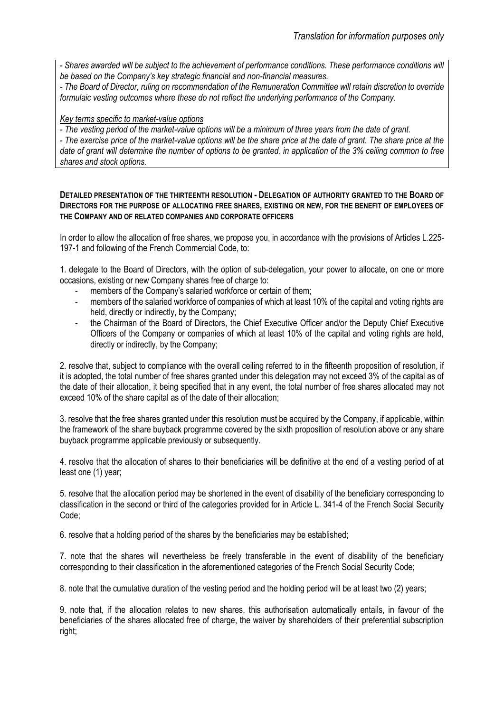*- Shares awarded will be subject to the achievement of performance conditions. These performance conditions will be based on the Company's key strategic financial and non-financial measures.*

*- The Board of Director, ruling on recommendation of the Remuneration Committee will retain discretion to override formulaic vesting outcomes where these do not reflect the underlying performance of the Company.* 

# *Key terms specific to market-value options*

*- The vesting period of the market-value options will be a minimum of three years from the date of grant.* 

*- The exercise price of the market-value options will be the share price at the date of grant. The share price at the date of grant will determine the number of options to be granted, in application of the 3% ceiling common to free shares and stock options.*

#### **DETAILED PRESENTATION OF THE THIRTEENTH RESOLUTION - DELEGATION OF AUTHORITY GRANTED TO THE BOARD OF DIRECTORS FOR THE PURPOSE OF ALLOCATING FREE SHARES, EXISTING OR NEW, FOR THE BENEFIT OF EMPLOYEES OF THE COMPANY AND OF RELATED COMPANIES AND CORPORATE OFFICERS**

In order to allow the allocation of free shares, we propose you, in accordance with the provisions of Articles L.225- 197-1 and following of the French Commercial Code, to:

1. delegate to the Board of Directors, with the option of sub-delegation, your power to allocate, on one or more occasions, existing or new Company shares free of charge to:

- members of the Company's salaried workforce or certain of them;
- members of the salaried workforce of companies of which at least 10% of the capital and voting rights are held, directly or indirectly, by the Company;
- the Chairman of the Board of Directors, the Chief Executive Officer and/or the Deputy Chief Executive Officers of the Company or companies of which at least 10% of the capital and voting rights are held, directly or indirectly, by the Company;

2. resolve that, subject to compliance with the overall ceiling referred to in the fifteenth proposition of resolution, if it is adopted, the total number of free shares granted under this delegation may not exceed 3% of the capital as of the date of their allocation, it being specified that in any event, the total number of free shares allocated may not exceed 10% of the share capital as of the date of their allocation;

3. resolve that the free shares granted under this resolution must be acquired by the Company, if applicable, within the framework of the share buyback programme covered by the sixth proposition of resolution above or any share buyback programme applicable previously or subsequently.

4. resolve that the allocation of shares to their beneficiaries will be definitive at the end of a vesting period of at least one (1) year;

5. resolve that the allocation period may be shortened in the event of disability of the beneficiary corresponding to classification in the second or third of the categories provided for in Article L. [341-4 of the French Social Security](https://www.legifrance.gouv.fr/affichCodeArticle.do?cidTexte=LEGITEXT000006073189&idArticle=LEGIARTI000006742597&dateTexte=&categorieLien=cid)  [Code;](https://www.legifrance.gouv.fr/affichCodeArticle.do?cidTexte=LEGITEXT000006073189&idArticle=LEGIARTI000006742597&dateTexte=&categorieLien=cid)

6. resolve that a holding period of the shares by the beneficiaries may be established;

7. note that the shares will nevertheless be freely transferable in the event of disability of the beneficiary corresponding to their classification in the aforementioned categories of the French Social Security Code;

8. note that the cumulative duration of the vesting period and the holding period will be at least two (2) years;

9. note that, if the allocation relates to new shares, this authorisation automatically entails, in favour of the beneficiaries of the shares allocated free of charge, the waiver by shareholders of their preferential subscription right;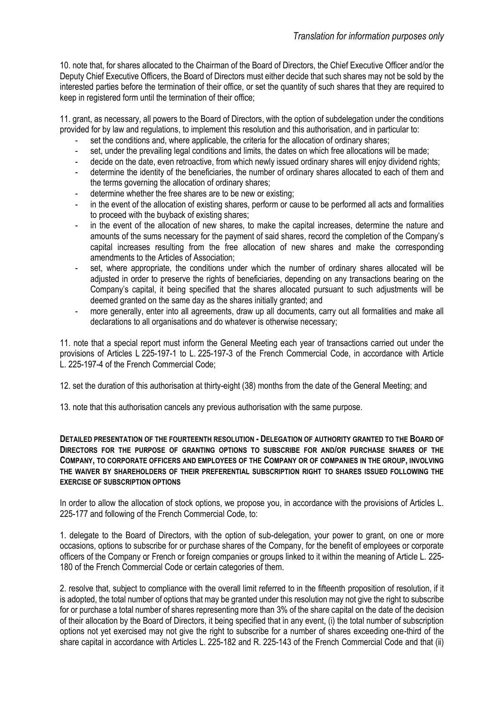10. note that, for shares allocated to the Chairman of the Board of Directors, the Chief Executive Officer and/or the Deputy Chief Executive Officers, the Board of Directors must either decide that such shares may not be sold by the interested parties before the termination of their office, or set the quantity of such shares that they are required to keep in registered form until the termination of their office;

11. grant, as necessary, all powers to the Board of Directors, with the option of subdelegation under the conditions provided for by law and regulations, to implement this resolution and this authorisation, and in particular to:

- set the conditions and, where applicable, the criteria for the allocation of ordinary shares;
- set, under the prevailing legal conditions and limits, the dates on which free allocations will be made;
- decide on the date, even retroactive, from which newly issued ordinary shares will enjoy dividend rights;
- determine the identity of the beneficiaries, the number of ordinary shares allocated to each of them and the terms governing the allocation of ordinary shares;
- determine whether the free shares are to be new or existing;
- in the event of the allocation of existing shares, perform or cause to be performed all acts and formalities to proceed with the buyback of existing shares;
- in the event of the allocation of new shares, to make the capital increases, determine the nature and amounts of the sums necessary for the payment of said shares, record the completion of the Company's capital increases resulting from the free allocation of new shares and make the corresponding amendments to the Articles of Association;
- set, where appropriate, the conditions under which the number of ordinary shares allocated will be adjusted in order to preserve the rights of beneficiaries, depending on any transactions bearing on the Company's capital, it being specified that the shares allocated pursuant to such adjustments will be deemed granted on the same day as the shares initially granted; and
- more generally, enter into all agreements, draw up all documents, carry out all formalities and make all declarations to all organisations and do whatever is otherwise necessary;

11. note that a special report must inform the General Meeting each year of transactions carried out under the provisions of Articles L 225-197-1 to L. 225-197-3 of the French Commercial Code, in accordance with Article L. 225-197-4 of the French Commercial Code;

12. set the duration of this authorisation at thirty-eight (38) months from the date of the General Meeting; and

13. note that this authorisation cancels any previous authorisation with the same purpose.

**DETAILED PRESENTATION OF THE FOURTEENTH RESOLUTION - DELEGATION OF AUTHORITY GRANTED TO THE BOARD OF DIRECTORS FOR THE PURPOSE OF GRANTING OPTIONS TO SUBSCRIBE FOR AND/OR PURCHASE SHARES OF THE COMPANY, TO CORPORATE OFFICERS AND EMPLOYEES OF THE COMPANY OR OF COMPANIES IN THE GROUP, INVOLVING THE WAIVER BY SHAREHOLDERS OF THEIR PREFERENTIAL SUBSCRIPTION RIGHT TO SHARES ISSUED FOLLOWING THE EXERCISE OF SUBSCRIPTION OPTIONS** 

In order to allow the allocation of stock options, we propose you, in accordance with the provisions of Articles L. 225-177 and following of the French Commercial Code, to:

1. delegate to the Board of Directors, with the option of sub-delegation, your power to grant, on one or more occasions, options to subscribe for or purchase shares of the Company, for the benefit of employees or corporate officers of the Company or French or foreign companies or groups linked to it within the meaning of Article L. 225- 180 of the French Commercial Code or certain categories of them.

2. resolve that, subject to compliance with the overall limit referred to in the fifteenth proposition of resolution, if it is adopted, the total number of options that may be granted under this resolution may not give the right to subscribe for or purchase a total number of shares representing more than 3% of the share capital on the date of the decision of their allocation by the Board of Directors, it being specified that in any event, (i) the total number of subscription options not yet exercised may not give the right to subscribe for a number of shares exceeding one-third of the share capital in accordance with Articles L. 225-182 and R. 225-143 of the French Commercial Code and that (ii)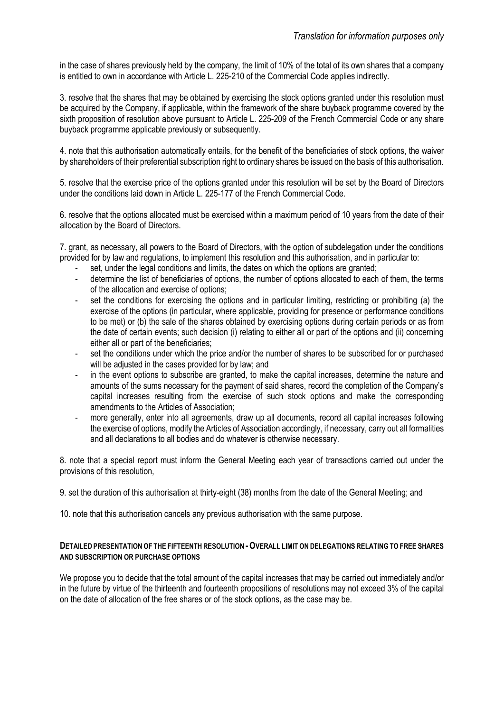in the case of shares previously held by the company, the limit of 10% of the total of its own shares that a company is entitled to own in accordance with Article L. 225-210 of the Commercial Code applies indirectly.

3. resolve that the shares that may be obtained by exercising the stock options granted under this resolution must be acquired by the Company, if applicable, within the framework of the share buyback programme covered by the sixth proposition of resolution above pursuant to Article L. 225-209 of the French Commercial Code or any share buyback programme applicable previously or subsequently.

4. note that this authorisation automatically entails, for the benefit of the beneficiaries of stock options, the waiver by shareholders of their preferential subscription right to ordinary shares be issued on the basis of this authorisation.

5. resolve that the exercise price of the options granted under this resolution will be set by the Board of Directors under the conditions laid down in Article L. 225-177 of the French Commercial Code.

6. resolve that the options allocated must be exercised within a maximum period of 10 years from the date of their allocation by the Board of Directors.

7. grant, as necessary, all powers to the Board of Directors, with the option of subdelegation under the conditions provided for by law and regulations, to implement this resolution and this authorisation, and in particular to:

- set, under the legal conditions and limits, the dates on which the options are granted;
- determine the list of beneficiaries of options, the number of options allocated to each of them, the terms of the allocation and exercise of options;
- set the conditions for exercising the options and in particular limiting, restricting or prohibiting (a) the exercise of the options (in particular, where applicable, providing for presence or performance conditions to be met) or (b) the sale of the shares obtained by exercising options during certain periods or as from the date of certain events; such decision (i) relating to either all or part of the options and (ii) concerning either all or part of the beneficiaries;
- set the conditions under which the price and/or the number of shares to be subscribed for or purchased will be adjusted in the cases provided for by law; and
- in the event options to subscribe are granted, to make the capital increases, determine the nature and amounts of the sums necessary for the payment of said shares, record the completion of the Company's capital increases resulting from the exercise of such stock options and make the corresponding amendments to the Articles of Association;
- more generally, enter into all agreements, draw up all documents, record all capital increases following the exercise of options, modify the Articles of Association accordingly, if necessary, carry out all formalities and all declarations to all bodies and do whatever is otherwise necessary.

8. note that a special report must inform the General Meeting each year of transactions carried out under the provisions of this resolution,

9. set the duration of this authorisation at thirty-eight (38) months from the date of the General Meeting; and

10. note that this authorisation cancels any previous authorisation with the same purpose.

#### **DETAILED PRESENTATION OF THE FIFTEENTH RESOLUTION -OVERALL LIMIT ON DELEGATIONS RELATING TO FREE SHARES AND SUBSCRIPTION OR PURCHASE OPTIONS**

We propose you to decide that the total amount of the capital increases that may be carried out immediately and/or in the future by virtue of the thirteenth and fourteenth propositions of resolutions may not exceed 3% of the capital on the date of allocation of the free shares or of the stock options, as the case may be.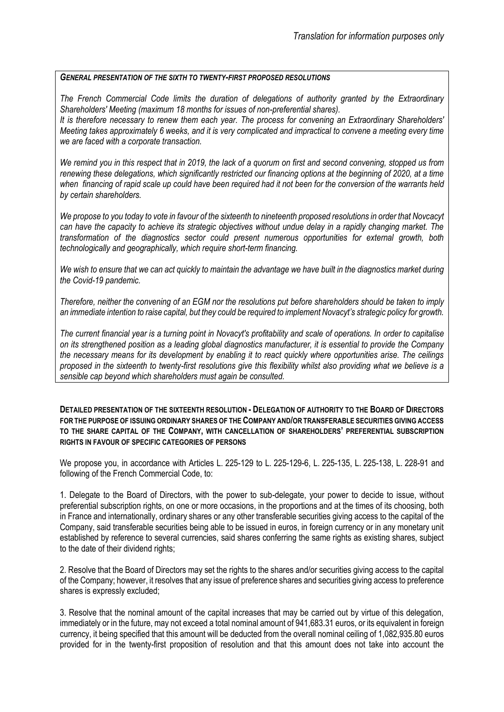#### *GENERAL PRESENTATION OF THE SIXTH TO TWENTY-FIRST PROPOSED RESOLUTIONS*

*The French Commercial Code limits the duration of delegations of authority granted by the Extraordinary Shareholders' Meeting (maximum 18 months for issues of non-preferential shares). It is therefore necessary to renew them each year. The process for convening an Extraordinary Shareholders' Meeting takes approximately 6 weeks, and it is very complicated and impractical to convene a meeting every time we are faced with a corporate transaction.*

*We remind you in this respect that in 2019, the lack of a quorum on first and second convening, stopped us from renewing these delegations, which significantly restricted our financing options at the beginning of 2020, at a time when financing of rapid scale up could have been required had it not been for the conversion of the warrants held by certain shareholders.* 

*We propose to you today to vote in favour of the sixteenth to nineteenth proposed resolutions in order that Novcacyt can have the capacity to achieve its strategic objectives without undue delay in a rapidly changing market. The transformation of the diagnostics sector could present numerous opportunities for external growth, both technologically and geographically, which require short-term financing.* 

*We wish to ensure that we can act quickly to maintain the advantage we have built in the diagnostics market during the Covid-19 pandemic.*

*Therefore, neither the convening of an EGM nor the resolutions put before shareholders should be taken to imply an immediate intention to raise capital, but they could be required to implement Novacyt's strategic policy for growth.* 

*The current financial year is a turning point in Novacyt's profitability and scale of operations. In order to capitalise on its strengthened position as a leading global diagnostics manufacturer, it is essential to provide the Company the necessary means for its development by enabling it to react quickly where opportunities arise. The ceilings proposed in the sixteenth to twenty-first resolutions give this flexibility whilst also providing what we believe is a sensible cap beyond which shareholders must again be consulted.*

**DETAILED PRESENTATION OF THE SIXTEENTH RESOLUTION - DELEGATION OF AUTHORITY TO THE BOARD OF DIRECTORS FOR THE PURPOSE OF ISSUING ORDINARY SHARES OF THE COMPANY AND/OR TRANSFERABLE SECURITIES GIVING ACCESS TO THE SHARE CAPITAL OF THE COMPANY, WITH CANCELLATION OF SHAREHOLDERS' PREFERENTIAL SUBSCRIPTION RIGHTS IN FAVOUR OF SPECIFIC CATEGORIES OF PERSONS**

We propose you, in accordance with Articles L. 225-129 to L. 225-129-6, L. 225-135, L. 225-138, L. 228-91 and following of the French Commercial Code, to:

1. Delegate to the Board of Directors, with the power to sub-delegate, your power to decide to issue, without preferential subscription rights, on one or more occasions, in the proportions and at the times of its choosing, both in France and internationally, ordinary shares or any other transferable securities giving access to the capital of the Company, said transferable securities being able to be issued in euros, in foreign currency or in any monetary unit established by reference to several currencies, said shares conferring the same rights as existing shares, subject to the date of their dividend rights;

2. Resolve that the Board of Directors may set the rights to the shares and/or securities giving access to the capital of the Company; however, it resolves that any issue of preference shares and securities giving access to preference shares is expressly excluded;

3. Resolve that the nominal amount of the capital increases that may be carried out by virtue of this delegation, immediately or in the future, may not exceed a total nominal amount of 941,683.31 euros, or its equivalent in foreign currency, it being specified that this amount will be deducted from the overall nominal ceiling of 1,082,935.80 euros provided for in the twenty-first proposition of resolution and that this amount does not take into account the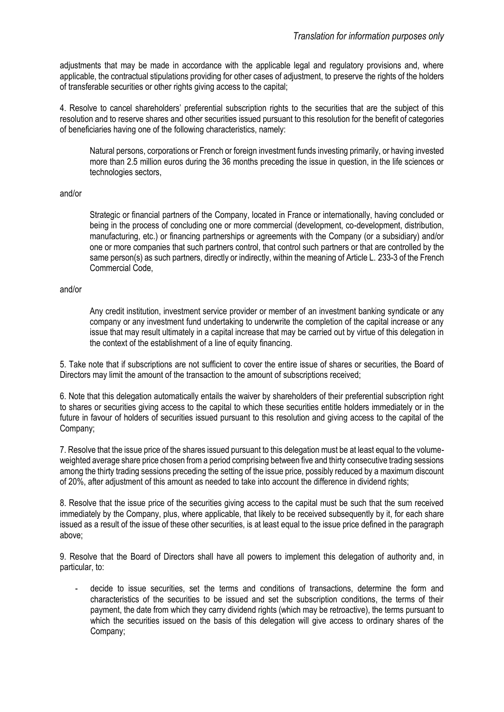adjustments that may be made in accordance with the applicable legal and regulatory provisions and, where applicable, the contractual stipulations providing for other cases of adjustment, to preserve the rights of the holders of transferable securities or other rights giving access to the capital;

4. Resolve to cancel shareholders' preferential subscription rights to the securities that are the subject of this resolution and to reserve shares and other securities issued pursuant to this resolution for the benefit of categories of beneficiaries having one of the following characteristics, namely:

Natural persons, corporations or French or foreign investment funds investing primarily, or having invested more than 2.5 million euros during the 36 months preceding the issue in question, in the life sciences or technologies sectors,

#### and/or

Strategic or financial partners of the Company, located in France or internationally, having concluded or being in the process of concluding one or more commercial (development, co-development, distribution, manufacturing, etc.) or financing partnerships or agreements with the Company (or a subsidiary) and/or one or more companies that such partners control, that control such partners or that are controlled by the same person(s) as such partners, directly or indirectly, within the meaning of Article L. 233-3 of the French Commercial Code,

#### and/or

Any credit institution, investment service provider or member of an investment banking syndicate or any company or any investment fund undertaking to underwrite the completion of the capital increase or any issue that may result ultimately in a capital increase that may be carried out by virtue of this delegation in the context of the establishment of a line of equity financing.

5. Take note that if subscriptions are not sufficient to cover the entire issue of shares or securities, the Board of Directors may limit the amount of the transaction to the amount of subscriptions received;

6. Note that this delegation automatically entails the waiver by shareholders of their preferential subscription right to shares or securities giving access to the capital to which these securities entitle holders immediately or in the future in favour of holders of securities issued pursuant to this resolution and giving access to the capital of the Company;

7. Resolve that the issue price of the shares issued pursuant to this delegation must be at least equal to the volumeweighted average share price chosen from a period comprising between five and thirty consecutive trading sessions among the thirty trading sessions preceding the setting of the issue price, possibly reduced by a maximum discount of 20%, after adjustment of this amount as needed to take into account the difference in dividend rights;

8. Resolve that the issue price of the securities giving access to the capital must be such that the sum received immediately by the Company, plus, where applicable, that likely to be received subsequently by it, for each share issued as a result of the issue of these other securities, is at least equal to the issue price defined in the paragraph above;

9. Resolve that the Board of Directors shall have all powers to implement this delegation of authority and, in particular, to:

- decide to issue securities, set the terms and conditions of transactions, determine the form and characteristics of the securities to be issued and set the subscription conditions, the terms of their payment, the date from which they carry dividend rights (which may be retroactive), the terms pursuant to which the securities issued on the basis of this delegation will give access to ordinary shares of the Company;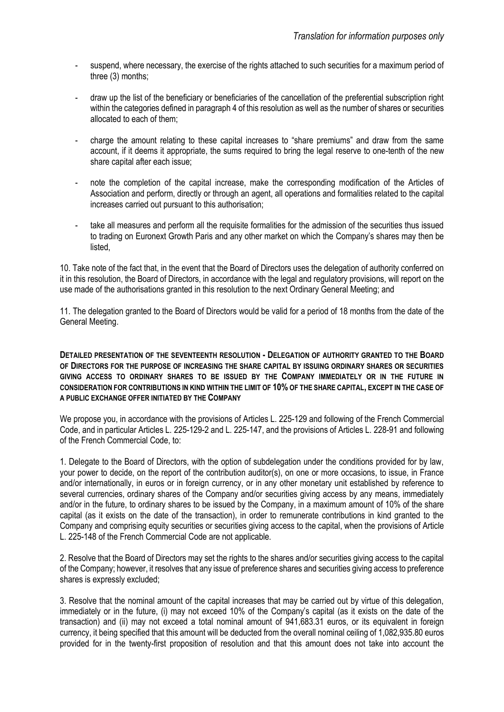- suspend, where necessary, the exercise of the rights attached to such securities for a maximum period of three (3) months;
- draw up the list of the beneficiary or beneficiaries of the cancellation of the preferential subscription right within the categories defined in paragraph 4 of this resolution as well as the number of shares or securities allocated to each of them;
- charge the amount relating to these capital increases to "share premiums" and draw from the same account, if it deems it appropriate, the sums required to bring the legal reserve to one-tenth of the new share capital after each issue;
- note the completion of the capital increase, make the corresponding modification of the Articles of Association and perform, directly or through an agent, all operations and formalities related to the capital increases carried out pursuant to this authorisation;
- take all measures and perform all the requisite formalities for the admission of the securities thus issued to trading on Euronext Growth Paris and any other market on which the Company's shares may then be listed,

10. Take note of the fact that, in the event that the Board of Directors uses the delegation of authority conferred on it in this resolution, the Board of Directors, in accordance with the legal and regulatory provisions, will report on the use made of the authorisations granted in this resolution to the next Ordinary General Meeting; and

11. The delegation granted to the Board of Directors would be valid for a period of 18 months from the date of the General Meeting.

**DETAILED PRESENTATION OF THE SEVENTEENTH RESOLUTION - DELEGATION OF AUTHORITY GRANTED TO THE BOARD OF DIRECTORS FOR THE PURPOSE OF INCREASING THE SHARE CAPITAL BY ISSUING ORDINARY SHARES OR SECURITIES GIVING ACCESS TO ORDINARY SHARES TO BE ISSUED BY THE COMPANY IMMEDIATELY OR IN THE FUTURE IN CONSIDERATION FOR CONTRIBUTIONS IN KIND WITHIN THE LIMIT OF 10% OF THE SHARE CAPITAL, EXCEPT IN THE CASE OF A PUBLIC EXCHANGE OFFER INITIATED BY THE COMPANY**

We propose you, in accordance with the provisions of Articles L. 225-129 and following of the French Commercial Code, and in particular Articles L. 225-129-2 and L. 225-147, and the provisions of Articles L. 228-91 and following of the French Commercial Code, to:

1. Delegate to the Board of Directors, with the option of subdelegation under the conditions provided for by law, your power to decide, on the report of the contribution auditor(s), on one or more occasions, to issue, in France and/or internationally, in euros or in foreign currency, or in any other monetary unit established by reference to several currencies, ordinary shares of the Company and/or securities giving access by any means, immediately and/or in the future, to ordinary shares to be issued by the Company, in a maximum amount of 10% of the share capital (as it exists on the date of the transaction), in order to remunerate contributions in kind granted to the Company and comprising equity securities or securities giving access to the capital, when the provisions of Article L. 225-148 of the French Commercial Code are not applicable.

2. Resolve that the Board of Directors may set the rights to the shares and/or securities giving access to the capital of the Company; however, it resolves that any issue of preference shares and securities giving access to preference shares is expressly excluded;

3. Resolve that the nominal amount of the capital increases that may be carried out by virtue of this delegation, immediately or in the future, (i) may not exceed 10% of the Company's capital (as it exists on the date of the transaction) and (ii) may not exceed a total nominal amount of 941,683.31 euros, or its equivalent in foreign currency, it being specified that this amount will be deducted from the overall nominal ceiling of 1,082,935.80 euros provided for in the twenty-first proposition of resolution and that this amount does not take into account the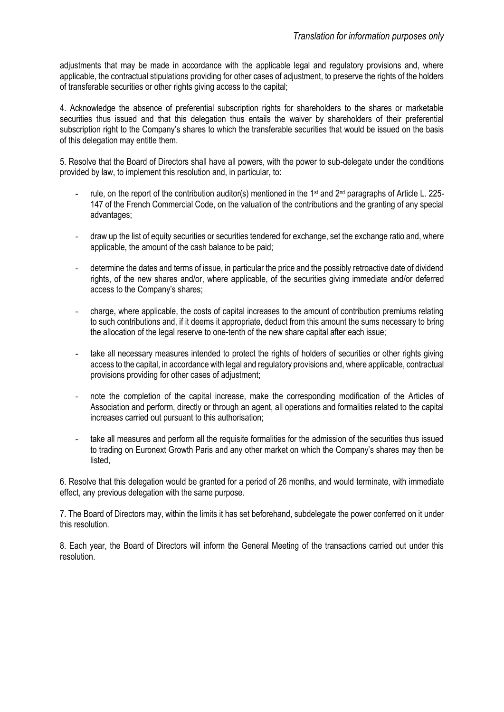adjustments that may be made in accordance with the applicable legal and regulatory provisions and, where applicable, the contractual stipulations providing for other cases of adjustment, to preserve the rights of the holders of transferable securities or other rights giving access to the capital;

4. Acknowledge the absence of preferential subscription rights for shareholders to the shares or marketable securities thus issued and that this delegation thus entails the waiver by shareholders of their preferential subscription right to the Company's shares to which the transferable securities that would be issued on the basis of this delegation may entitle them.

5. Resolve that the Board of Directors shall have all powers, with the power to sub-delegate under the conditions provided by law, to implement this resolution and, in particular, to:

- rule, on the report of the contribution auditor(s) mentioned in the 1st and 2nd paragraphs of Article L. 225- 147 of the French Commercial Code, on the valuation of the contributions and the granting of any special advantages;
- draw up the list of equity securities or securities tendered for exchange, set the exchange ratio and, where applicable, the amount of the cash balance to be paid;
- determine the dates and terms of issue, in particular the price and the possibly retroactive date of dividend rights, of the new shares and/or, where applicable, of the securities giving immediate and/or deferred access to the Company's shares;
- charge, where applicable, the costs of capital increases to the amount of contribution premiums relating to such contributions and, if it deems it appropriate, deduct from this amount the sums necessary to bring the allocation of the legal reserve to one-tenth of the new share capital after each issue;
- take all necessary measures intended to protect the rights of holders of securities or other rights giving access to the capital, in accordance with legal and regulatory provisions and, where applicable, contractual provisions providing for other cases of adjustment;
- note the completion of the capital increase, make the corresponding modification of the Articles of Association and perform, directly or through an agent, all operations and formalities related to the capital increases carried out pursuant to this authorisation;
- take all measures and perform all the requisite formalities for the admission of the securities thus issued to trading on Euronext Growth Paris and any other market on which the Company's shares may then be listed,

6. Resolve that this delegation would be granted for a period of 26 months, and would terminate, with immediate effect, any previous delegation with the same purpose.

7. The Board of Directors may, within the limits it has set beforehand, subdelegate the power conferred on it under this resolution.

8. Each year, the Board of Directors will inform the General Meeting of the transactions carried out under this resolution.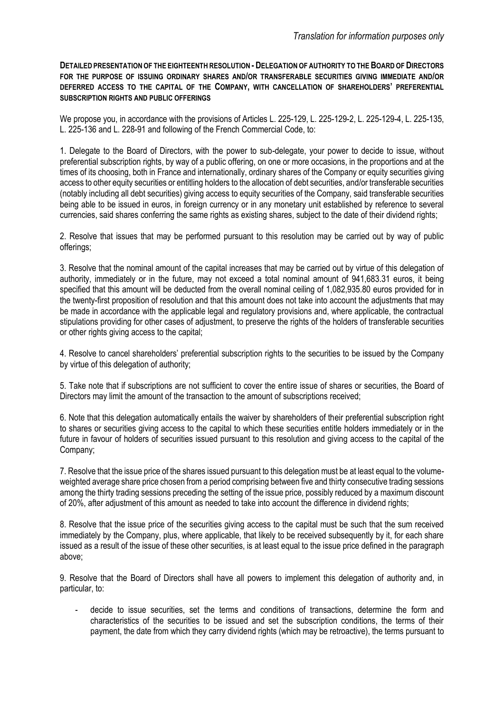**DETAILED PRESENTATION OF THE EIGHTEENTH RESOLUTION - DELEGATION OF AUTHORITY TO THE BOARD OF DIRECTORS FOR THE PURPOSE OF ISSUING ORDINARY SHARES AND/OR TRANSFERABLE SECURITIES GIVING IMMEDIATE AND/OR DEFERRED ACCESS TO THE CAPITAL OF THE COMPANY, WITH CANCELLATION OF SHAREHOLDERS' PREFERENTIAL SUBSCRIPTION RIGHTS AND PUBLIC OFFERINGS**

We propose you, in accordance with the provisions of Articles L. 225-129, L. 225-129-2, L. 225-129-4, L. 225-135, L. 225-136 and L. 228-91 and following of the French Commercial Code, to:

1. Delegate to the Board of Directors, with the power to sub-delegate, your power to decide to issue, without preferential subscription rights, by way of a public offering, on one or more occasions, in the proportions and at the times of its choosing, both in France and internationally, ordinary shares of the Company or equity securities giving access to other equity securities or entitling holders to the allocation of debt securities, and/or transferable securities (notably including all debt securities) giving access to equity securities of the Company, said transferable securities being able to be issued in euros, in foreign currency or in any monetary unit established by reference to several currencies, said shares conferring the same rights as existing shares, subject to the date of their dividend rights;

2. Resolve that issues that may be performed pursuant to this resolution may be carried out by way of public offerings;

3. Resolve that the nominal amount of the capital increases that may be carried out by virtue of this delegation of authority, immediately or in the future, may not exceed a total nominal amount of 941,683.31 euros, it being specified that this amount will be deducted from the overall nominal ceiling of 1,082,935.80 euros provided for in the twenty-first proposition of resolution and that this amount does not take into account the adjustments that may be made in accordance with the applicable legal and regulatory provisions and, where applicable, the contractual stipulations providing for other cases of adjustment, to preserve the rights of the holders of transferable securities or other rights giving access to the capital;

4. Resolve to cancel shareholders' preferential subscription rights to the securities to be issued by the Company by virtue of this delegation of authority;

5. Take note that if subscriptions are not sufficient to cover the entire issue of shares or securities, the Board of Directors may limit the amount of the transaction to the amount of subscriptions received;

6. Note that this delegation automatically entails the waiver by shareholders of their preferential subscription right to shares or securities giving access to the capital to which these securities entitle holders immediately or in the future in favour of holders of securities issued pursuant to this resolution and giving access to the capital of the Company;

7. Resolve that the issue price of the shares issued pursuant to this delegation must be at least equal to the volumeweighted average share price chosen from a period comprising between five and thirty consecutive trading sessions among the thirty trading sessions preceding the setting of the issue price, possibly reduced by a maximum discount of 20%, after adjustment of this amount as needed to take into account the difference in dividend rights;

8. Resolve that the issue price of the securities giving access to the capital must be such that the sum received immediately by the Company, plus, where applicable, that likely to be received subsequently by it, for each share issued as a result of the issue of these other securities, is at least equal to the issue price defined in the paragraph above;

9. Resolve that the Board of Directors shall have all powers to implement this delegation of authority and, in particular, to:

- decide to issue securities, set the terms and conditions of transactions, determine the form and characteristics of the securities to be issued and set the subscription conditions, the terms of their payment, the date from which they carry dividend rights (which may be retroactive), the terms pursuant to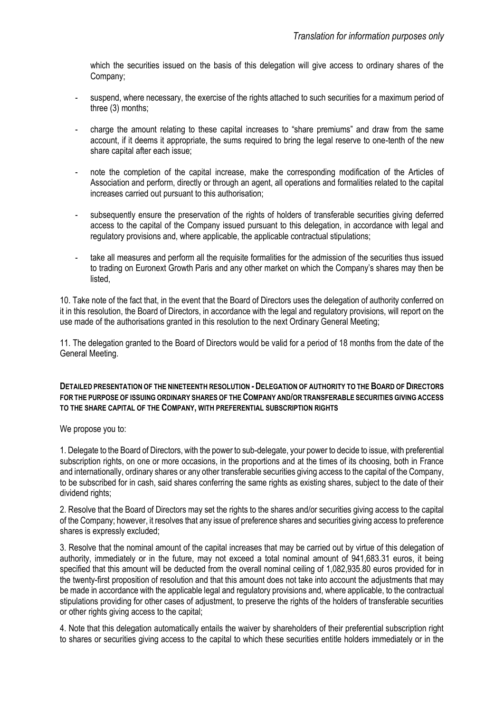which the securities issued on the basis of this delegation will give access to ordinary shares of the Company;

- suspend, where necessary, the exercise of the rights attached to such securities for a maximum period of three (3) months;
- charge the amount relating to these capital increases to "share premiums" and draw from the same account, if it deems it appropriate, the sums required to bring the legal reserve to one-tenth of the new share capital after each issue;
- note the completion of the capital increase, make the corresponding modification of the Articles of Association and perform, directly or through an agent, all operations and formalities related to the capital increases carried out pursuant to this authorisation;
- subsequently ensure the preservation of the rights of holders of transferable securities giving deferred access to the capital of the Company issued pursuant to this delegation, in accordance with legal and regulatory provisions and, where applicable, the applicable contractual stipulations;
- take all measures and perform all the requisite formalities for the admission of the securities thus issued to trading on Euronext Growth Paris and any other market on which the Company's shares may then be listed,

10. Take note of the fact that, in the event that the Board of Directors uses the delegation of authority conferred on it in this resolution, the Board of Directors, in accordance with the legal and regulatory provisions, will report on the use made of the authorisations granted in this resolution to the next Ordinary General Meeting;

11. The delegation granted to the Board of Directors would be valid for a period of 18 months from the date of the General Meeting.

#### **DETAILED PRESENTATION OF THE NINETEENTH RESOLUTION** *-* **DELEGATION OF AUTHORITY TO THE BOARD OF DIRECTORS FOR THE PURPOSE OF ISSUING ORDINARY SHARES OF THE COMPANY AND/OR TRANSFERABLE SECURITIES GIVING ACCESS TO THE SHARE CAPITAL OF THE COMPANY, WITH PREFERENTIAL SUBSCRIPTION RIGHTS**

We propose you to:

1. Delegate to the Board of Directors, with the power to sub-delegate, your power to decide to issue, with preferential subscription rights, on one or more occasions, in the proportions and at the times of its choosing, both in France and internationally, ordinary shares or any other transferable securities giving access to the capital of the Company, to be subscribed for in cash, said shares conferring the same rights as existing shares, subject to the date of their dividend rights;

2. Resolve that the Board of Directors may set the rights to the shares and/or securities giving access to the capital of the Company; however, it resolves that any issue of preference shares and securities giving access to preference shares is expressly excluded;

3. Resolve that the nominal amount of the capital increases that may be carried out by virtue of this delegation of authority, immediately or in the future, may not exceed a total nominal amount of 941,683.31 euros, it being specified that this amount will be deducted from the overall nominal ceiling of 1,082,935.80 euros provided for in the twenty-first proposition of resolution and that this amount does not take into account the adjustments that may be made in accordance with the applicable legal and regulatory provisions and, where applicable, to the contractual stipulations providing for other cases of adjustment, to preserve the rights of the holders of transferable securities or other rights giving access to the capital;

4. Note that this delegation automatically entails the waiver by shareholders of their preferential subscription right to shares or securities giving access to the capital to which these securities entitle holders immediately or in the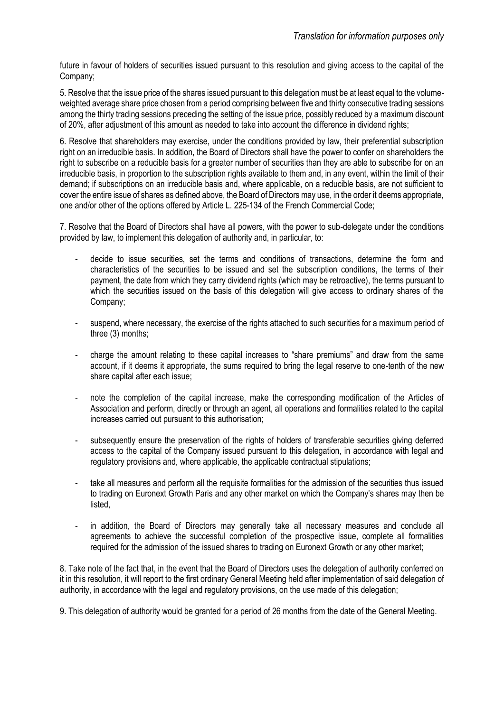future in favour of holders of securities issued pursuant to this resolution and giving access to the capital of the Company;

5. Resolve that the issue price of the shares issued pursuant to this delegation must be at least equal to the volumeweighted average share price chosen from a period comprising between five and thirty consecutive trading sessions among the thirty trading sessions preceding the setting of the issue price, possibly reduced by a maximum discount of 20%, after adjustment of this amount as needed to take into account the difference in dividend rights;

6. Resolve that shareholders may exercise, under the conditions provided by law, their preferential subscription right on an irreducible basis. In addition, the Board of Directors shall have the power to confer on shareholders the right to subscribe on a reducible basis for a greater number of securities than they are able to subscribe for on an irreducible basis, in proportion to the subscription rights available to them and, in any event, within the limit of their demand; if subscriptions on an irreducible basis and, where applicable, on a reducible basis, are not sufficient to cover the entire issue of shares as defined above, the Board of Directors may use, in the order it deems appropriate, one and/or other of the options offered by Article L. 225-134 of the French Commercial Code;

7. Resolve that the Board of Directors shall have all powers, with the power to sub-delegate under the conditions provided by law, to implement this delegation of authority and, in particular, to:

- decide to issue securities, set the terms and conditions of transactions, determine the form and characteristics of the securities to be issued and set the subscription conditions, the terms of their payment, the date from which they carry dividend rights (which may be retroactive), the terms pursuant to which the securities issued on the basis of this delegation will give access to ordinary shares of the Company;
- suspend, where necessary, the exercise of the rights attached to such securities for a maximum period of three (3) months;
- charge the amount relating to these capital increases to "share premiums" and draw from the same account, if it deems it appropriate, the sums required to bring the legal reserve to one-tenth of the new share capital after each issue;
- note the completion of the capital increase, make the corresponding modification of the Articles of Association and perform, directly or through an agent, all operations and formalities related to the capital increases carried out pursuant to this authorisation;
- subsequently ensure the preservation of the rights of holders of transferable securities giving deferred access to the capital of the Company issued pursuant to this delegation, in accordance with legal and regulatory provisions and, where applicable, the applicable contractual stipulations;
- take all measures and perform all the requisite formalities for the admission of the securities thus issued to trading on Euronext Growth Paris and any other market on which the Company's shares may then be listed,
- in addition, the Board of Directors may generally take all necessary measures and conclude all agreements to achieve the successful completion of the prospective issue, complete all formalities required for the admission of the issued shares to trading on Euronext Growth or any other market;

8. Take note of the fact that, in the event that the Board of Directors uses the delegation of authority conferred on it in this resolution, it will report to the first ordinary General Meeting held after implementation of said delegation of authority, in accordance with the legal and regulatory provisions, on the use made of this delegation;

9. This delegation of authority would be granted for a period of 26 months from the date of the General Meeting.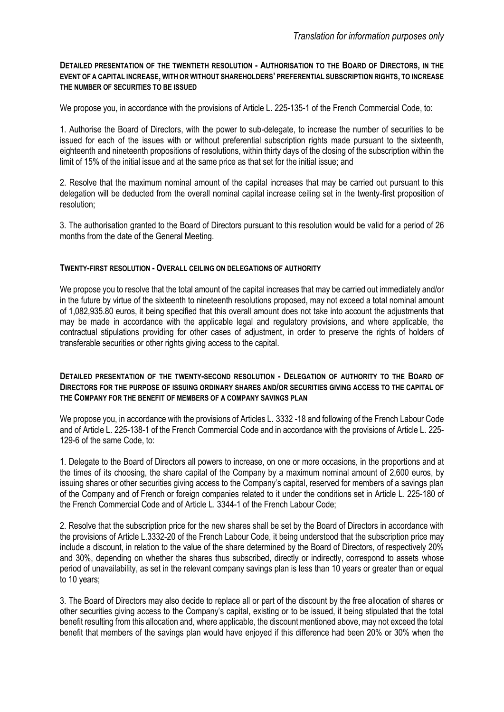#### **DETAILED PRESENTATION OF THE TWENTIETH RESOLUTION - AUTHORISATION TO THE BOARD OF DIRECTORS, IN THE EVENT OF A CAPITAL INCREASE, WITH OR WITHOUT SHAREHOLDERS' PREFERENTIAL SUBSCRIPTION RIGHTS, TO INCREASE THE NUMBER OF SECURITIES TO BE ISSUED**

We propose you, in accordance with the provisions of Article L. 225-135-1 of the French Commercial Code, to:

1. Authorise the Board of Directors, with the power to sub-delegate, to increase the number of securities to be issued for each of the issues with or without preferential subscription rights made pursuant to the sixteenth, eighteenth and nineteenth propositions of resolutions, within thirty days of the closing of the subscription within the limit of 15% of the initial issue and at the same price as that set for the initial issue; and

2. Resolve that the maximum nominal amount of the capital increases that may be carried out pursuant to this delegation will be deducted from the overall nominal capital increase ceiling set in the twenty-first proposition of resolution;

3. The authorisation granted to the Board of Directors pursuant to this resolution would be valid for a period of 26 months from the date of the General Meeting.

#### **TWENTY-FIRST RESOLUTION - OVERALL CEILING ON DELEGATIONS OF AUTHORITY**

We propose you to resolve that the total amount of the capital increases that may be carried out immediately and/or in the future by virtue of the sixteenth to nineteenth resolutions proposed, may not exceed a total nominal amount of 1,082,935.80 euros, it being specified that this overall amount does not take into account the adjustments that may be made in accordance with the applicable legal and regulatory provisions, and where applicable, the contractual stipulations providing for other cases of adjustment, in order to preserve the rights of holders of transferable securities or other rights giving access to the capital.

#### **DETAILED PRESENTATION OF THE TWENTY-SECOND RESOLUTION - DELEGATION OF AUTHORITY TO THE BOARD OF DIRECTORS FOR THE PURPOSE OF ISSUING ORDINARY SHARES AND/OR SECURITIES GIVING ACCESS TO THE CAPITAL OF THE COMPANY FOR THE BENEFIT OF MEMBERS OF A COMPANY SAVINGS PLAN**

We propose you, in accordance with the provisions of Articles L. 3332 -18 and following of the French Labour Code and of Article L. 225-138-1 of the French Commercial Code and in accordance with the provisions of Article L. 225- 129-6 of the same Code, to:

1. Delegate to the Board of Directors all powers to increase, on one or more occasions, in the proportions and at the times of its choosing, the share capital of the Company by a maximum nominal amount of 2,600 euros, by issuing shares or other securities giving access to the Company's capital, reserved for members of a savings plan of the Company and of French or foreign companies related to it under the conditions set in Article L. 225-180 of the French Commercial Code and of Article L. 3344-1 of the French Labour Code;

2. Resolve that the subscription price for the new shares shall be set by the Board of Directors in accordance with the provisions of Article L.3332-20 of the French Labour Code, it being understood that the subscription price may include a discount, in relation to the value of the share determined by the Board of Directors, of respectively 20% and 30%, depending on whether the shares thus subscribed, directly or indirectly, correspond to assets whose period of unavailability, as set in the relevant company savings plan is less than 10 years or greater than or equal to 10 years;

3. The Board of Directors may also decide to replace all or part of the discount by the free allocation of shares or other securities giving access to the Company's capital, existing or to be issued, it being stipulated that the total benefit resulting from this allocation and, where applicable, the discount mentioned above, may not exceed the total benefit that members of the savings plan would have enjoyed if this difference had been 20% or 30% when the